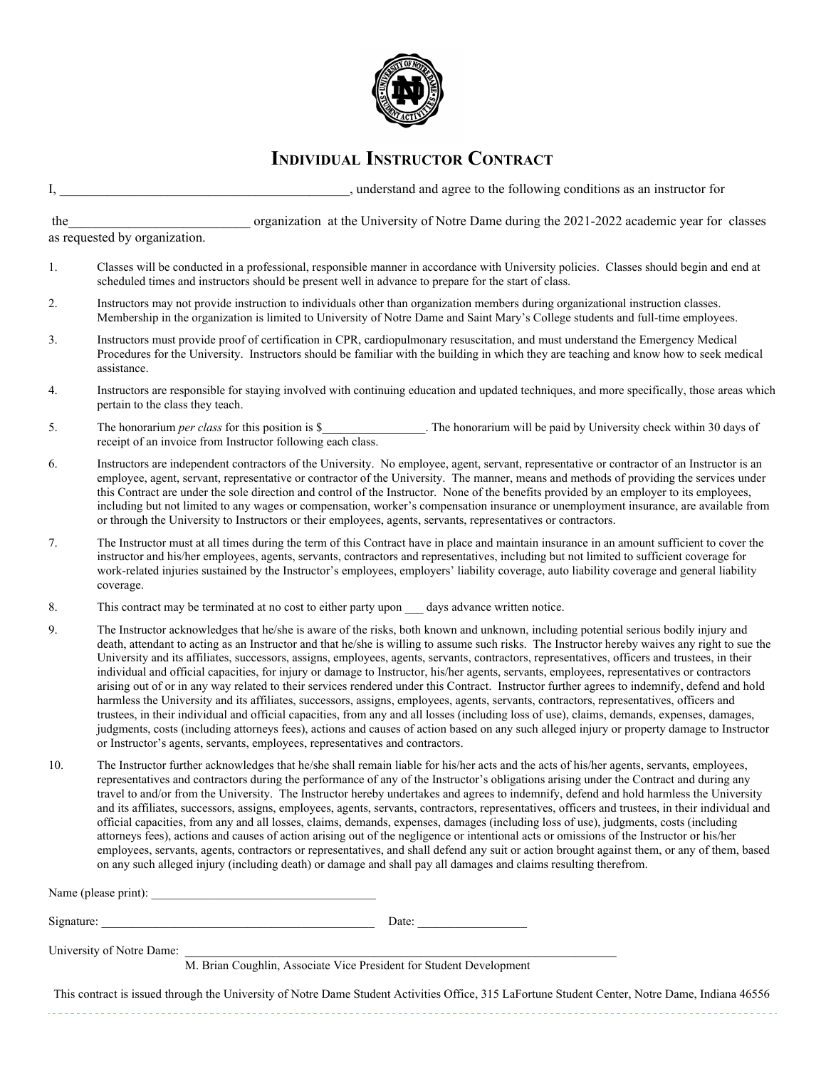

## **INDIVIDUAL INSTRUCTOR CONTRACT**

| I,                                                                                            | , understand and agree to the following conditions as an instructor for                                                                                                                                                                                                                                                                                                                                                                                                                                                                                                                                                                                                                                                                                                                                                                                                                                                                                                                                                                                                                                                                                                                                                                                            |  |  |  |
|-----------------------------------------------------------------------------------------------|--------------------------------------------------------------------------------------------------------------------------------------------------------------------------------------------------------------------------------------------------------------------------------------------------------------------------------------------------------------------------------------------------------------------------------------------------------------------------------------------------------------------------------------------------------------------------------------------------------------------------------------------------------------------------------------------------------------------------------------------------------------------------------------------------------------------------------------------------------------------------------------------------------------------------------------------------------------------------------------------------------------------------------------------------------------------------------------------------------------------------------------------------------------------------------------------------------------------------------------------------------------------|--|--|--|
| the                                                                                           | organization at the University of Notre Dame during the 2021-2022 academic year for classes                                                                                                                                                                                                                                                                                                                                                                                                                                                                                                                                                                                                                                                                                                                                                                                                                                                                                                                                                                                                                                                                                                                                                                        |  |  |  |
|                                                                                               | as requested by organization.                                                                                                                                                                                                                                                                                                                                                                                                                                                                                                                                                                                                                                                                                                                                                                                                                                                                                                                                                                                                                                                                                                                                                                                                                                      |  |  |  |
| 1.                                                                                            | Classes will be conducted in a professional, responsible manner in accordance with University policies. Classes should begin and end at<br>scheduled times and instructors should be present well in advance to prepare for the start of class.                                                                                                                                                                                                                                                                                                                                                                                                                                                                                                                                                                                                                                                                                                                                                                                                                                                                                                                                                                                                                    |  |  |  |
| 2.                                                                                            | Instructors may not provide instruction to individuals other than organization members during organizational instruction classes.<br>Membership in the organization is limited to University of Notre Dame and Saint Mary's College students and full-time employees.                                                                                                                                                                                                                                                                                                                                                                                                                                                                                                                                                                                                                                                                                                                                                                                                                                                                                                                                                                                              |  |  |  |
| 3.                                                                                            | Instructors must provide proof of certification in CPR, cardiopulmonary resuscitation, and must understand the Emergency Medical<br>Procedures for the University. Instructors should be familiar with the building in which they are teaching and know how to seek medical<br>assistance.                                                                                                                                                                                                                                                                                                                                                                                                                                                                                                                                                                                                                                                                                                                                                                                                                                                                                                                                                                         |  |  |  |
| 4.                                                                                            | Instructors are responsible for staying involved with continuing education and updated techniques, and more specifically, those areas which<br>pertain to the class they teach.                                                                                                                                                                                                                                                                                                                                                                                                                                                                                                                                                                                                                                                                                                                                                                                                                                                                                                                                                                                                                                                                                    |  |  |  |
| 5.                                                                                            | The honorarium will be paid by University check within 30 days of<br>The honorarium <i>per class</i> for this position is \$<br>receipt of an invoice from Instructor following each class.                                                                                                                                                                                                                                                                                                                                                                                                                                                                                                                                                                                                                                                                                                                                                                                                                                                                                                                                                                                                                                                                        |  |  |  |
| 6.                                                                                            | Instructors are independent contractors of the University. No employee, agent, servant, representative or contractor of an Instructor is an<br>employee, agent, servant, representative or contractor of the University. The manner, means and methods of providing the services under<br>this Contract are under the sole direction and control of the Instructor. None of the benefits provided by an employer to its employees,<br>including but not limited to any wages or compensation, worker's compensation insurance or unemployment insurance, are available from<br>or through the University to Instructors or their employees, agents, servants, representatives or contractors.                                                                                                                                                                                                                                                                                                                                                                                                                                                                                                                                                                      |  |  |  |
| 7.                                                                                            | The Instructor must at all times during the term of this Contract have in place and maintain insurance in an amount sufficient to cover the<br>instructor and his/her employees, agents, servants, contractors and representatives, including but not limited to sufficient coverage for<br>work-related injuries sustained by the Instructor's employees, employers' liability coverage, auto liability coverage and general liability<br>coverage.                                                                                                                                                                                                                                                                                                                                                                                                                                                                                                                                                                                                                                                                                                                                                                                                               |  |  |  |
| 8.                                                                                            | This contract may be terminated at no cost to either party upon days advance written notice.                                                                                                                                                                                                                                                                                                                                                                                                                                                                                                                                                                                                                                                                                                                                                                                                                                                                                                                                                                                                                                                                                                                                                                       |  |  |  |
| 9.                                                                                            | The Instructor acknowledges that he/she is aware of the risks, both known and unknown, including potential serious bodily injury and<br>death, attendant to acting as an Instructor and that he/she is willing to assume such risks. The Instructor hereby waives any right to sue the<br>University and its affiliates, successors, assigns, employees, agents, servants, contractors, representatives, officers and trustees, in their<br>individual and official capacities, for injury or damage to Instructor, his/her agents, servants, employees, representatives or contractors<br>arising out of or in any way related to their services rendered under this Contract. Instructor further agrees to indemnify, defend and hold<br>harmless the University and its affiliates, successors, assigns, employees, agents, servants, contractors, representatives, officers and<br>trustees, in their individual and official capacities, from any and all losses (including loss of use), claims, demands, expenses, damages,<br>judgments, costs (including attorneys fees), actions and causes of action based on any such alleged injury or property damage to Instructor<br>or Instructor's agents, servants, employees, representatives and contractors. |  |  |  |
| 10.                                                                                           | The Instructor further acknowledges that he/she shall remain liable for his/her acts and the acts of his/her agents, servants, employees,<br>representatives and contractors during the performance of any of the Instructor's obligations arising under the Contract and during any<br>travel to and/or from the University. The Instructor hereby undertakes and agrees to indemnify, defend and hold harmless the University<br>and its affiliates, successors, assigns, employees, agents, servants, contractors, representatives, officers and trustees, in their individual and<br>official capacities, from any and all losses, claims, demands, expenses, damages (including loss of use), judgments, costs (including<br>attorneys fees), actions and causes of action arising out of the negligence or intentional acts or omissions of the Instructor or his/her<br>employees, servants, agents, contractors or representatives, and shall defend any suit or action brought against them, or any of them, based<br>on any such alleged injury (including death) or damage and shall pay all damages and claims resulting therefrom.                                                                                                                    |  |  |  |
|                                                                                               |                                                                                                                                                                                                                                                                                                                                                                                                                                                                                                                                                                                                                                                                                                                                                                                                                                                                                                                                                                                                                                                                                                                                                                                                                                                                    |  |  |  |
|                                                                                               | Signature:<br>Date:                                                                                                                                                                                                                                                                                                                                                                                                                                                                                                                                                                                                                                                                                                                                                                                                                                                                                                                                                                                                                                                                                                                                                                                                                                                |  |  |  |
|                                                                                               |                                                                                                                                                                                                                                                                                                                                                                                                                                                                                                                                                                                                                                                                                                                                                                                                                                                                                                                                                                                                                                                                                                                                                                                                                                                                    |  |  |  |
| University of Notre Dame: M. Brian Coughlin, Associate Vice President for Student Development |                                                                                                                                                                                                                                                                                                                                                                                                                                                                                                                                                                                                                                                                                                                                                                                                                                                                                                                                                                                                                                                                                                                                                                                                                                                                    |  |  |  |
|                                                                                               | This contract is issued through the University of Notre Dame Student Activities Office, 315 LaFortune Student Center, Notre Dame, Indiana 46556                                                                                                                                                                                                                                                                                                                                                                                                                                                                                                                                                                                                                                                                                                                                                                                                                                                                                                                                                                                                                                                                                                                    |  |  |  |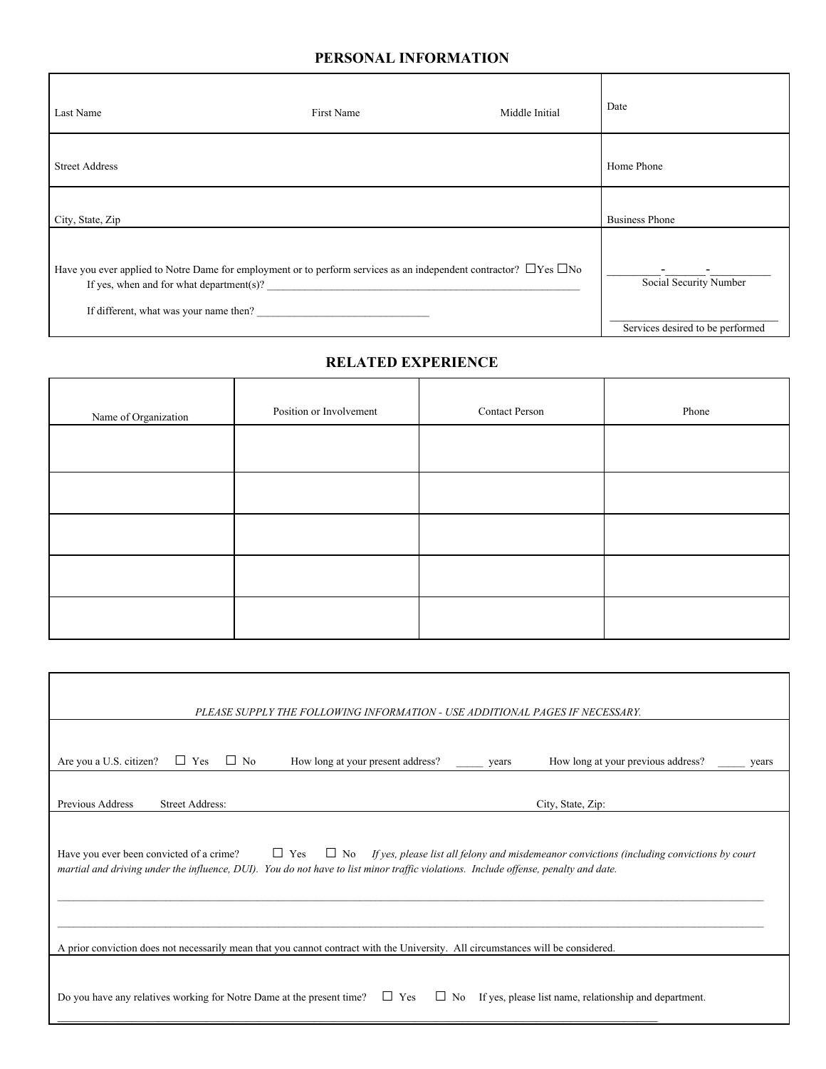## **PERSONAL INFORMATION**

| Last Name                                | First Name                                                                                                                   | Middle Initial | Date                             |
|------------------------------------------|------------------------------------------------------------------------------------------------------------------------------|----------------|----------------------------------|
| <b>Street Address</b>                    |                                                                                                                              |                | Home Phone                       |
| City, State, Zip                         |                                                                                                                              |                | <b>Business Phone</b>            |
| If yes, when and for what department(s)? | Have you ever applied to Notre Dame for employment or to perform services as an independent contractor? $\Box$ Yes $\Box$ No |                | Social Security Number           |
|                                          | If different, what was your name then?                                                                                       |                | Services desired to be performed |

## **RELATED EXPERIENCE**

| Name of Organization | Position or Involvement | <b>Contact Person</b> | Phone |
|----------------------|-------------------------|-----------------------|-------|
|                      |                         |                       |       |
|                      |                         |                       |       |
|                      |                         |                       |       |
|                      |                         |                       |       |
|                      |                         |                       |       |

| PLEASE SUPPLY THE FOLLOWING INFORMATION - USE ADDITIONAL PAGES IF NECESSARY.                                                                                                                                                                                                                          |                                                      |  |  |  |  |  |  |  |
|-------------------------------------------------------------------------------------------------------------------------------------------------------------------------------------------------------------------------------------------------------------------------------------------------------|------------------------------------------------------|--|--|--|--|--|--|--|
| Are you a U.S. citizen?<br>$\Box$ Yes<br>$\Box$ No<br>How long at your present address?                                                                                                                                                                                                               | How long at your previous address?<br>years<br>years |  |  |  |  |  |  |  |
| Previous Address<br><b>Street Address:</b>                                                                                                                                                                                                                                                            | City, State, Zip:                                    |  |  |  |  |  |  |  |
| Have you ever been convicted of a crime?<br>$\Box$ Yes<br>$\Box$ No If yes, please list all felony and misdemeanor convictions (including convictions by court<br>martial and driving under the influence, DUI). You do not have to list minor traffic violations. Include offense, penalty and date. |                                                      |  |  |  |  |  |  |  |
| A prior conviction does not necessarily mean that you cannot contract with the University. All circumstances will be considered.                                                                                                                                                                      |                                                      |  |  |  |  |  |  |  |
| Do you have any relatives working for Notre Dame at the present time?<br>$\Box$ Yes<br>$\Box$ No If yes, please list name, relationship and department.                                                                                                                                               |                                                      |  |  |  |  |  |  |  |